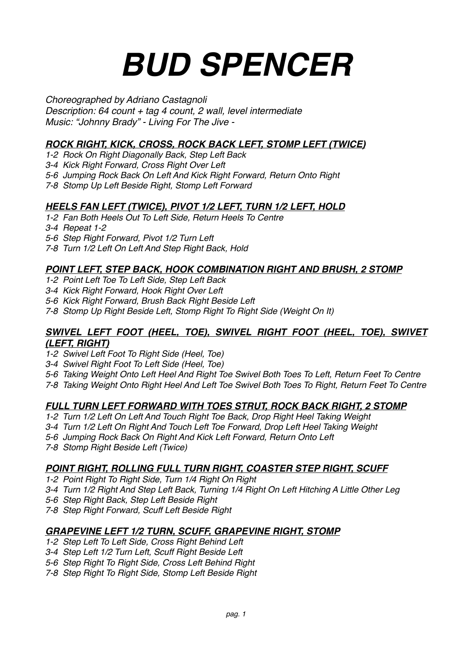# *BUD SPENCER*

*Choreographed by Adriano Castagnoli*

*Description: 64 count + tag 4 count, 2 wall, level intermediate Music: "Johnny Brady" - Living For The Jive -*

# *ROCK RIGHT, KICK, CROSS, ROCK BACK LEFT, STOMP LEFT (TWICE)*

- *1-2 Rock On Right Diagonally Back, Step Left Back*
- *3-4 Kick Right Forward, Cross Right Over Left*
- *5-6 Jumping Rock Back On Left And Kick Right Forward, Return Onto Right*
- *7-8 Stomp Up Left Beside Right, Stomp Left Forward*

## *HEELS FAN LEFT (TWICE), PIVOT 1/2 LEFT, TURN 1/2 LEFT, HOLD*

- *1-2 Fan Both Heels Out To Left Side, Return Heels To Centre*
- *3-4 Repeat 1-2*
- *5-6 Step Right Forward, Pivot 1/2 Turn Left*
- *7-8 Turn 1/2 Left On Left And Step Right Back, Hold*

## *POINT LEFT, STEP BACK, HOOK COMBINATION RIGHT AND BRUSH, 2 STOMP*

- *1-2 Point Left Toe To Left Side, Step Left Back*
- *3-4 Kick Right Forward, Hook Right Over Left*
- *5-6 Kick Right Forward, Brush Back Right Beside Left*
- *7-8 Stomp Up Right Beside Left, Stomp Right To Right Side (Weight On It)*

#### *SWIVEL LEFT FOOT (HEEL, TOE), SWIVEL RIGHT FOOT (HEEL, TOE), SWIVET (LEFT, RIGHT)*

- *1-2 Swivel Left Foot To Right Side (Heel, Toe)*
- *3-4 Swivel Right Foot To Left Side (Heel, Toe)*
- *5-6 Taking Weight Onto Left Heel And Right Toe Swivel Both Toes To Left, Return Feet To Centre*
- *7-8 Taking Weight Onto Right Heel And Left Toe Swivel Both Toes To Right, Return Feet To Centre*

## *FULL TURN LEFT FORWARD WITH TOES STRUT, ROCK BACK RIGHT, 2 STOMP*

- *1-2 Turn 1/2 Left On Left And Touch Right Toe Back, Drop Right Heel Taking Weight*
- *3-4 Turn 1/2 Left On Right And Touch Left Toe Forward, Drop Left Heel Taking Weight*
- *5-6 Jumping Rock Back On Right And Kick Left Forward, Return Onto Left*
- *7-8 Stomp Right Beside Left (Twice)*

## *POINT RIGHT, ROLLING FULL TURN RIGHT, COASTER STEP RIGHT, SCUFF*

- *1-2 Point Right To Right Side, Turn 1/4 Right On Right*
- *3-4 Turn 1/2 Right And Step Left Back, Turning 1/4 Right On Left Hitching A Little Other Leg*
- *5-6 Step Right Back, Step Left Beside Right*
- *7-8 Step Right Forward, Scuff Left Beside Right*

## *GRAPEVINE LEFT 1/2 TURN, SCUFF, GRAPEVINE RIGHT, STOMP*

- *1-2 Step Left To Left Side, Cross Right Behind Left*
- *3-4 Step Left 1/2 Turn Left, Scuff Right Beside Left*
- *5-6 Step Right To Right Side, Cross Left Behind Right*
- *7-8 Step Right To Right Side, Stomp Left Beside Right*